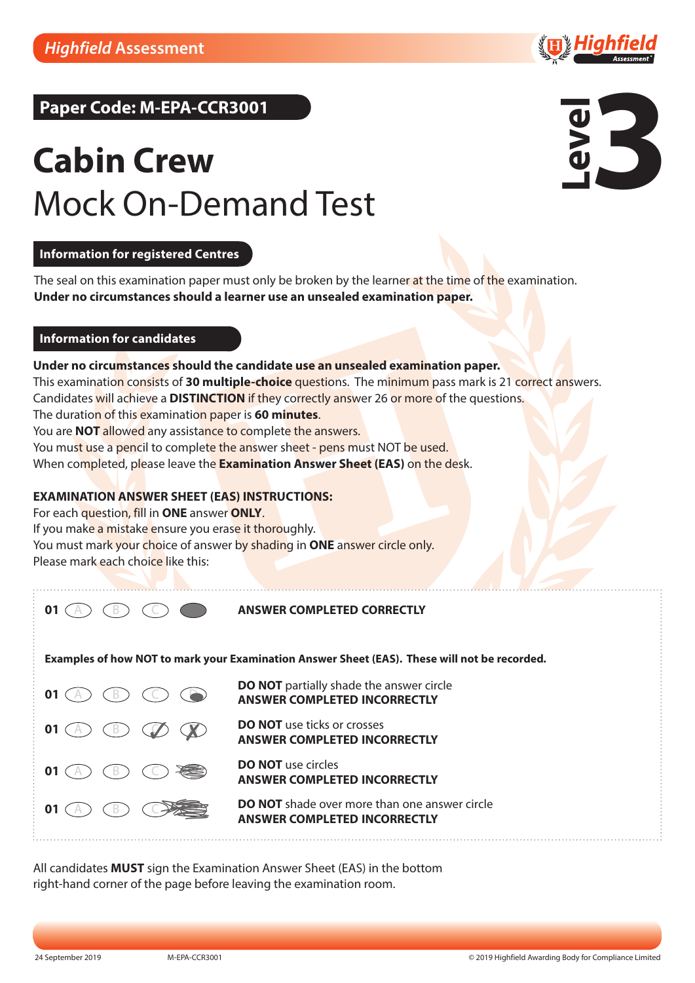

# **Example 20 In Series Cabin Crew 20 In The Series Crew 30 In The Series Crew 30 In The Series Crew 30 In The Series Crew 30 In The Series Crew 30 In The Series Crew 30 In The Series Crew 30 In The Series Crew 30 In The Ser** Mock On-Demand Test



# **Information for registered Centres**

Under no circumstances should a learner use an unsealed examination paper. **The examination of the examination** The seal on this examination paper must only be broken by the learne<mark>r at the time</mark> of <mark>the</mark> examination.

**Under no circumstances should a candidate use an unsealed examination paper.**

### **Information for candidates**

**Information for candidates Under no circumstances should the candidate use an unsealed examination paper.** This examinatio<mark>n consis</mark>ts of **30 multiple-choice** questions. The m<mark>inimum</mark> pass mark is 21 correct ans</mark>wers. Candidates will achieve a DISTINCTION if they correctly answer 26 or more of the questions. The duratio<mark>n of this ex</mark>aminatio<mark>n paper is **60 minutes.** The durations of the 45 questions of the 45 questions. The 45 questions of the 45 questions of the 45 questions. The 45 questions of the 45 questions of the 45 que</mark> You are **NOT** allowed any assista<mark>nce to co</mark>mplete the answers. You mu<mark>st u</mark>se a <mark>penc</mark>il to complet<mark>e the ans</mark>wer sh<mark>eet - pens must NOT be used.</mark> When co<mark>mpl</mark>eted, please leave the <mark>Examin</mark>ation **Answer Sheet (EAS)** o<mark>n the de</mark>sk.

# **EXAMINATION ANSWER SHEET (EAS) INSTRUCTIONS:**

**Example 2 Biggs State State State State State State State State State State State State State State State State State State State State State State State State State State State State State State State State State State S** If you mak<mark>e a mist</mark>ake ensure you eras<mark>e it thoro</mark>ughly. You must mar<mark>k you</mark>r <mark>cho</mark>ice of answer b<mark>y shadin</mark>g in **ONE** a<mark>nswer circle only.</mark> **Thease mark each choice like this:** The answer constant on the circle only.

**ANSWER COMPLETED CORRECTLY**

D **DO NOT** partially shade the answer circle **ANSWER COMPLETED INCORRECTLY Examples of how NOT to mark your Examination Answer Sheet (EAS). These will not be recorded. DO NOT** use ticks or crosses **ANSWER COMPLETED INCORRECTLY DO NOT** use circles **ANSWER COMPLETED INCORRECTLY DO NOT** shade over more than one answer circle **ANSWER COMPLETED INCORRECTLY 01** (A) (B) (C **01** (A) (B) ( $\bigcirc$   $\bigcirc$   $\bigcirc$  $01$  $01$   $\left($  $\mathcal{D} \varphi$ 

All candidates **MUST** sign the Examination Answer Sheet (EAS) in the bottom right-hand corner of the page before leaving the examination room. right-hand corner of the page before leaving the examination room. All candidates **MUST** sign the Examination Answer Sheet (EAS) in the bottom

*We listen and respond We listen and respond*

 $01$   $(A)$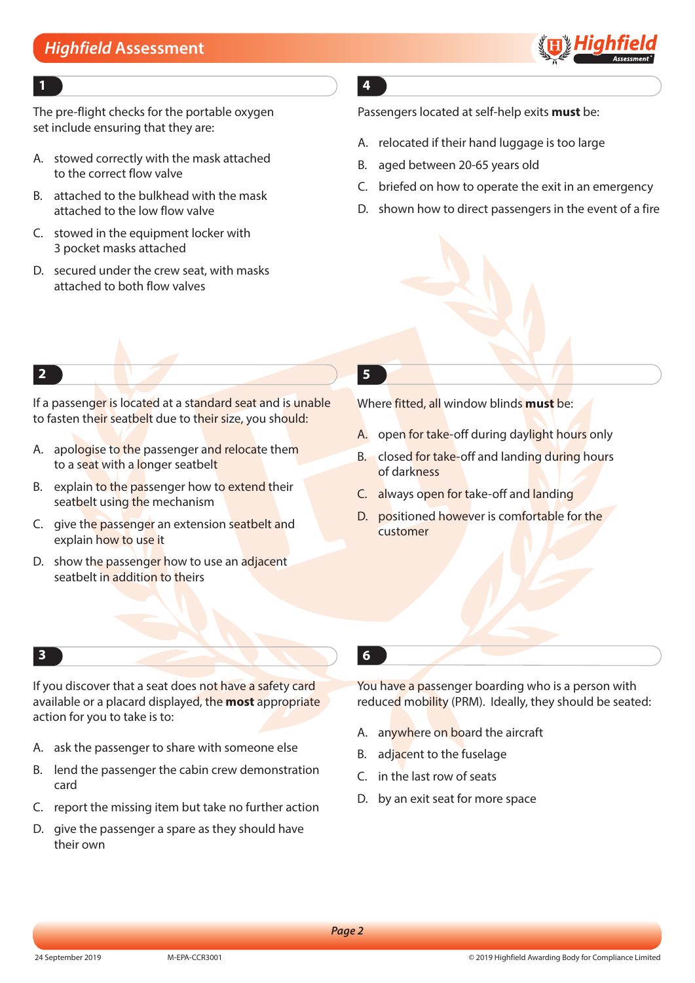### **1 4**

The pre-flight checks for the portable oxygen set include ensuring that they are:

- A. stowed correctly with the mask attached to the correct flow valve
- B. attached to the bulkhead with the mask attached to the low flow valve
- C. stowed in the equipment locker with 3 pocket masks attached
- D. secured under the crew seat, with masks attached to both flow valves

Passengers located at self-help exits **must** be:

- A. relocated if their hand luggage is too large
- B. aged between 20-65 years old
- C. briefed on how to operate the exit in an emergency
- D. shown how to direct passengers in the event of a fire

# **2 5**

If a passenger is located at a standard seat and is unable to fasten their seatbelt due to their size, you should:

- A. apologise to the passenger and relocate them to a seat with a longer seatbelt
- B. explain to the passenger how to extend their seatbelt using the mechanism
- C. give the passenger an extension seatbelt and explain how to use it
- D. show the passenger how to use an adjacent seatbelt in addition to theirs

Where fitted, all window blinds **must** be:

- A. open for take-off during daylight hours only
- B. closed for take-off and landing during hours of darkness
- C. always open for take-off and landing
- D. positioned however is comfortable for the customer

## **3 6**

If you discover that a seat does not have a safety card available or a placard displayed, the **most** appropriate action for you to take is to:

- A. ask the passenger to share with someone else
- B. lend the passenger the cabin crew demonstration card
- C. report the missing item but take no further action
- D. give the passenger a spare as they should have their own

You have a passenger boarding who is a person with reduced mobility (PRM). Ideally, they should be seated:

- A. anywhere on board the aircraft
- B. adjacent to the fuselage
- C. in the last row of seats
- D. by an exit seat for more space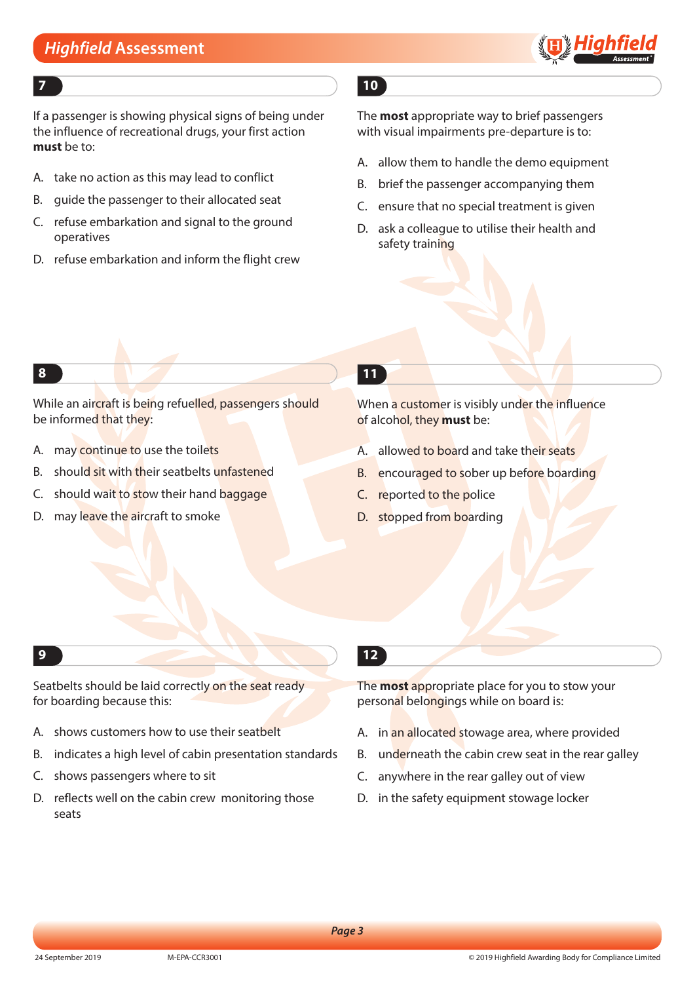

If a passenger is showing physical signs of being under the influence of recreational drugs, your first action **must** be to:

- A. take no action as this may lead to conflict
- B. guide the passenger to their allocated seat
- C. refuse embarkation and signal to the ground operatives
- D. refuse embarkation and inform the flight crew

## **7 10**

The **most** appropriate way to brief passengers with visual impairments pre-departure is to:

- A. allow them to handle the demo equipment
- B. brief the passenger accompanying them
- C. ensure that no special treatment is given
- D. ask a colleague to utilise their health and safety training

### **8**

While an aircraft is being refuelled, passengers should be informed that they:

- A. may continue to use the toilets
- B. should sit with their seatbelts unfastened
- C. should wait to stow their hand baggage
- D. may leave the aircraft to smoke

### **11**

When a customer is visibly under the influence of alcohol, they **must** be:

- A. allowed to board and take their seats
- **B.** encouraged to sober up before boarding
- C. reported to the police
- D. stopped from boarding

Seatbelts should be laid correctly on the seat ready for boarding because this:

- A. shows customers how to use their seatbelt
- B. indicates a high level of cabin presentation standards
- C. shows passengers where to sit
- D. reflects well on the cabin crew monitoring those seats

# **9 12**

The **most** appropriate place for you to stow your personal belongings while on board is:

- A. in an allocated stowage area, where provided
- B. underneath the cabin crew seat in the rear galley
- C. anywhere in the rear galley out of view
- D. in the safety equipment stowage locker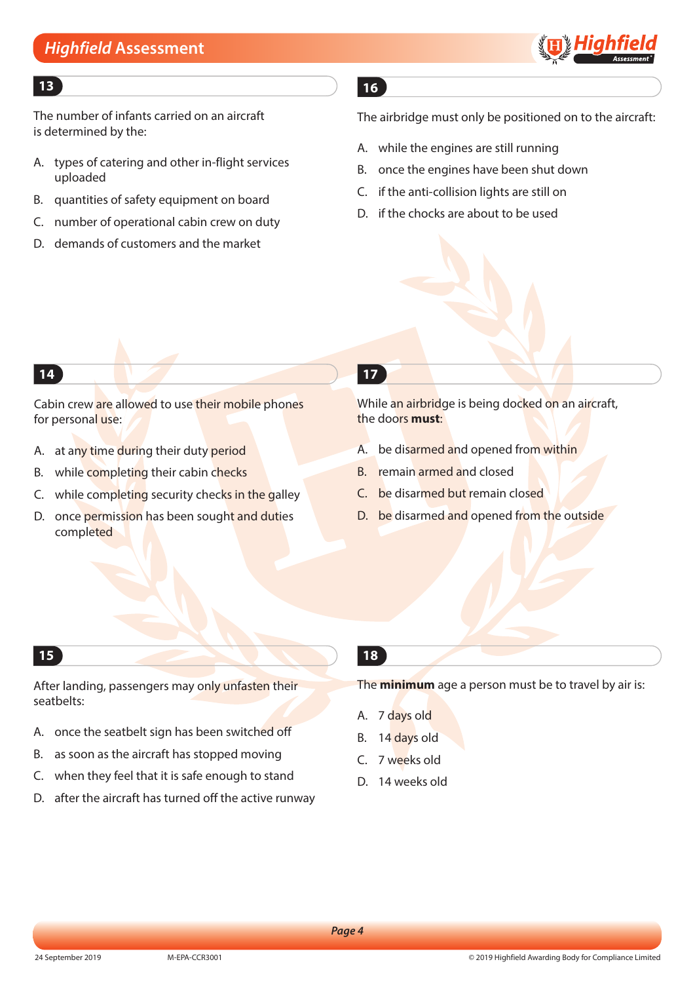The number of infants carried on an aircraft is determined by the:

- A. types of catering and other in-flight services uploaded
- B. quantities of safety equipment on board
- C. number of operational cabin crew on duty
- D. demands of customers and the market

# **13 16**

The airbridge must only be positioned on to the aircraft:

- A. while the engines are still running
- B. once the engines have been shut down
- C. if the anti-collision lights are still on
- D. if the chocks are about to be used

Cabin crew are allowed to use their mobile phones for personal use:

- A. at any time during their duty period
- B. while completing their cabin checks
- C. while completing security checks in the galley
- D. once permission has been sought and duties completed

# **14 17**

While an airbridge is being docked on an aircraft, the doors **must**:

- A. be disarmed and opened from within
- B. remain armed and closed
- C. be disarmed but remain closed
- D. be disarmed and opened from the outside

After landing, passengers may only unfasten their seatbelts:

- A. once the seatbelt sign has been switched off
- B. as soon as the aircraft has stopped moving
- C. when they feel that it is safe enough to stand
- D. after the aircraft has turned off the active runway

# **15 18**

The **minimum** age a person must be to travel by air is:

- A. 7 days old
- B. 14 days old
- C. 7 weeks old
- D. 14 weeks old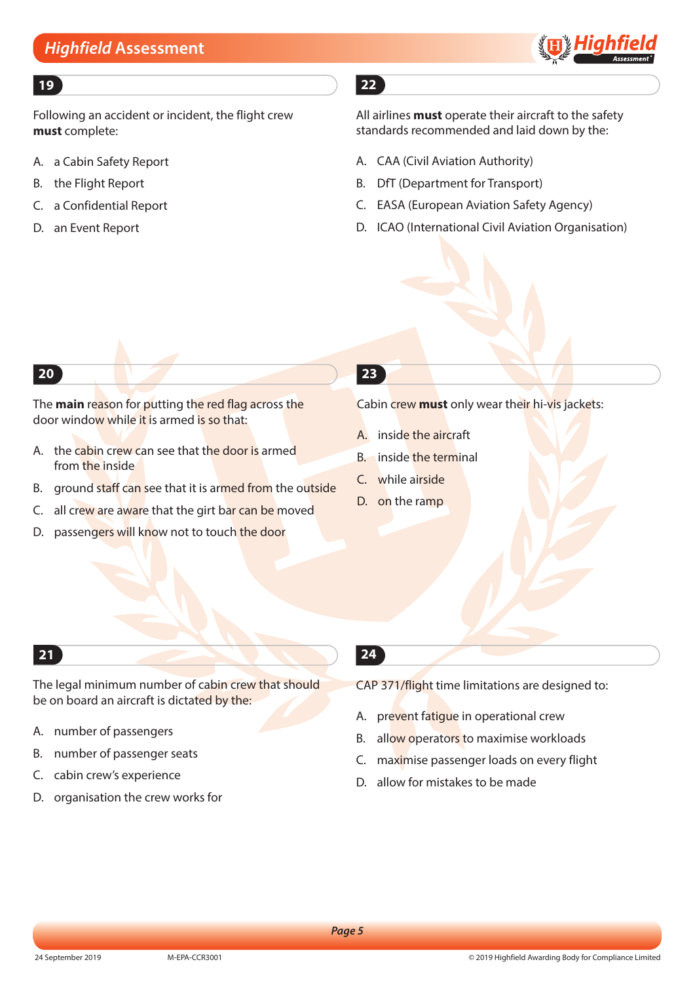

## **19 22**

Following an accident or incident, the flight crew **must** complete:

- A. a Cabin Safety Report
- B. the Flight Report
- C. a Confidential Report
- D. an Event Report

All airlines **must** operate their aircraft to the safety standards recommended and laid down by the:

- A. CAA (Civil Aviation Authority)
- B. DfT (Department for Transport)
- C. EASA (European Aviation Safety Agency)
- D. ICAO (International Civil Aviation Organisation)

### **20**

The **main** reason for putting the red flag across the door window while it is armed is so that:

- A. the cabin crew can see that the door is armed from the inside
- B. ground staff can see that it is armed from the outside
- C. all crew are aware that the girt bar can be moved
- D. passengers will know not to touch the door

### **23**

Cabin crew **must** only wear their hi-vis jackets:

- A. inside the aircraft
- B. inside the terminal
- C. while airside
- D. on the ramp

# **21**

The legal minimum number of cabin crew that should be on board an aircraft is dictated by the:

- A. number of passengers
- B. number of passenger seats
- C. cabin crew's experience
- D. organisation the crew works for

# **24**

CAP 371/flight time limitations are designed to:

- A. prevent fatique in operational crew
- B. allow operators to maximise workloads
- C. maximise passenger loads on every flight
- D. allow for mistakes to be made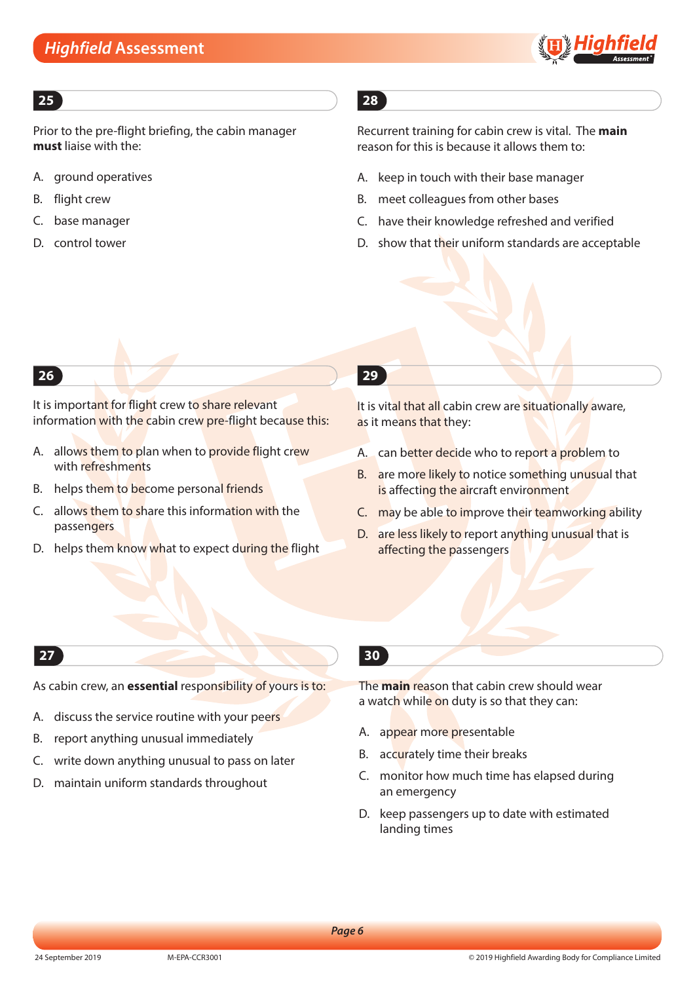

Prior to the pre-flight briefing, the cabin manager **must** liaise with the:

- A. ground operatives
- B. flight crew
- C. base manager
- D. control tower

# **25 28**

Recurrent training for cabin crew is vital. The **main** reason for this is because it allows them to:

- A. keep in touch with their base manager
- B. meet colleagues from other bases
- C. have their knowledge refreshed and verified
- D. show that their uniform standards are acceptable

### **26**

It is important for flight crew to share relevant information with the cabin crew pre-flight because this:

- A. allows them to plan when to provide flight crew with refreshments
- B. helps them to become personal friends
- C. allows them to share this information with the passengers
- D. helps them know what to expect during the flight

# **29**

It is vital that all cabin crew are situationally aware, as it means that they:

- A. can better decide who to report a problem to
- B. are more likely to notice something unusual that is affecting the aircraft environment
- C. may be able to improve their teamworking ability
- D. are less likely to report anything unusual that is affecting the passengers

# **27**

As cabin crew, an **essential** responsibility of yours is to:

- A. discuss the service routine with your peers
- B. report anything unusual immediately
- C. write down anything unusual to pass on later
- D. maintain uniform standards throughout

# **30**

The **main** reason that cabin crew should wear a watch while on duty is so that they can:

- A. appear more presentable
- B. accurately time their breaks
- C. monitor how much time has elapsed during an emergency
- D. keep passengers up to date with estimated landing times

*Page 6*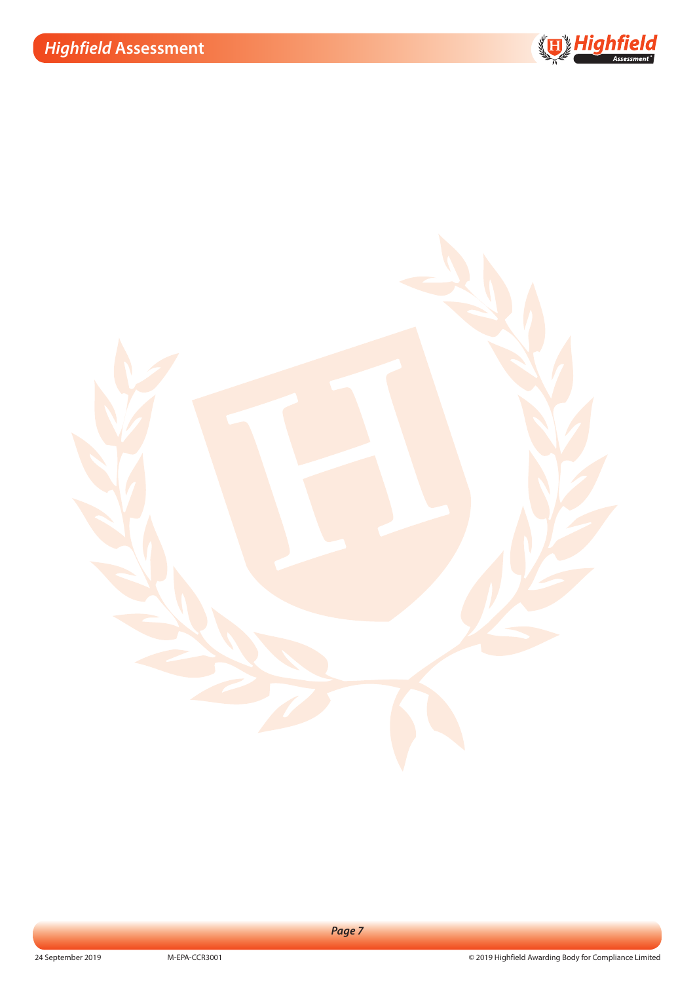



*Page 7*